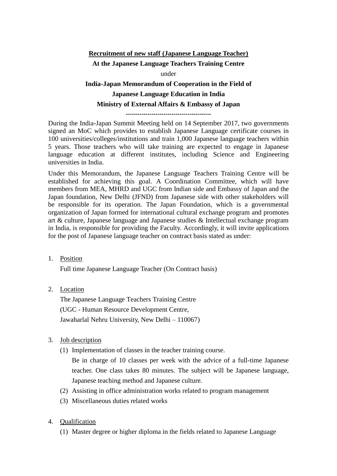# **Recruitment of new staff (Japanese Language Teacher) At the Japanese Language Teachers Training Centre** under **India-Japan Memorandum of Cooperation in the Field of Japanese Language Education in India Ministry of External Affairs & Embassy of Japan**

-------------------------------------------

During the India-Japan Summit Meeting held on 14 September 2017, two governments signed an MoC which provides to establish Japanese Language certificate courses in 100 universities/colleges/institutions and train 1,000 Japanese language teachers within 5 years. Those teachers who will take training are expected to engage in Japanese language education at different institutes, including Science and Engineering universities in India.

Under this Memorandum, the Japanese Language Teachers Training Centre will be established for achieving this goal. A Coordination Committee, which will have members from MEA, MHRD and UGC from Indian side and Embassy of Japan and the Japan foundation, New Delhi (JFND) from Japanese side with other stakeholders will be responsible for its operation. The Japan Foundation, which is a governmental organization of Japan formed for international cultural exchange program and promotes art & culture, Japanese language and Japanese studies & Intellectual exchange program in India, is responsible for providing the Faculty. Accordingly, it will invite applications for the post of Japanese language teacher on contract basis stated as under:

1. Position

Full time Japanese Language Teacher (On Contract basis)

2. Location

The Japanese Language Teachers Training Centre (UGC - Human Resource Development Centre, Jawaharlal Nehru University, New Delhi – 110067)

- 3. Job description
	- (1) Implementation of classes in the teacher training course.

Be in charge of 10 classes per week with the advice of a full-time Japanese teacher. One class takes 80 minutes. The subject will be Japanese language, Japanese teaching method and Japanese culture.

- (2) Assisting in office administration works related to program management
- (3) Miscellaneous duties related works
- 4. Qualification
	- (1) Master degree or higher diploma in the fields related to Japanese Language